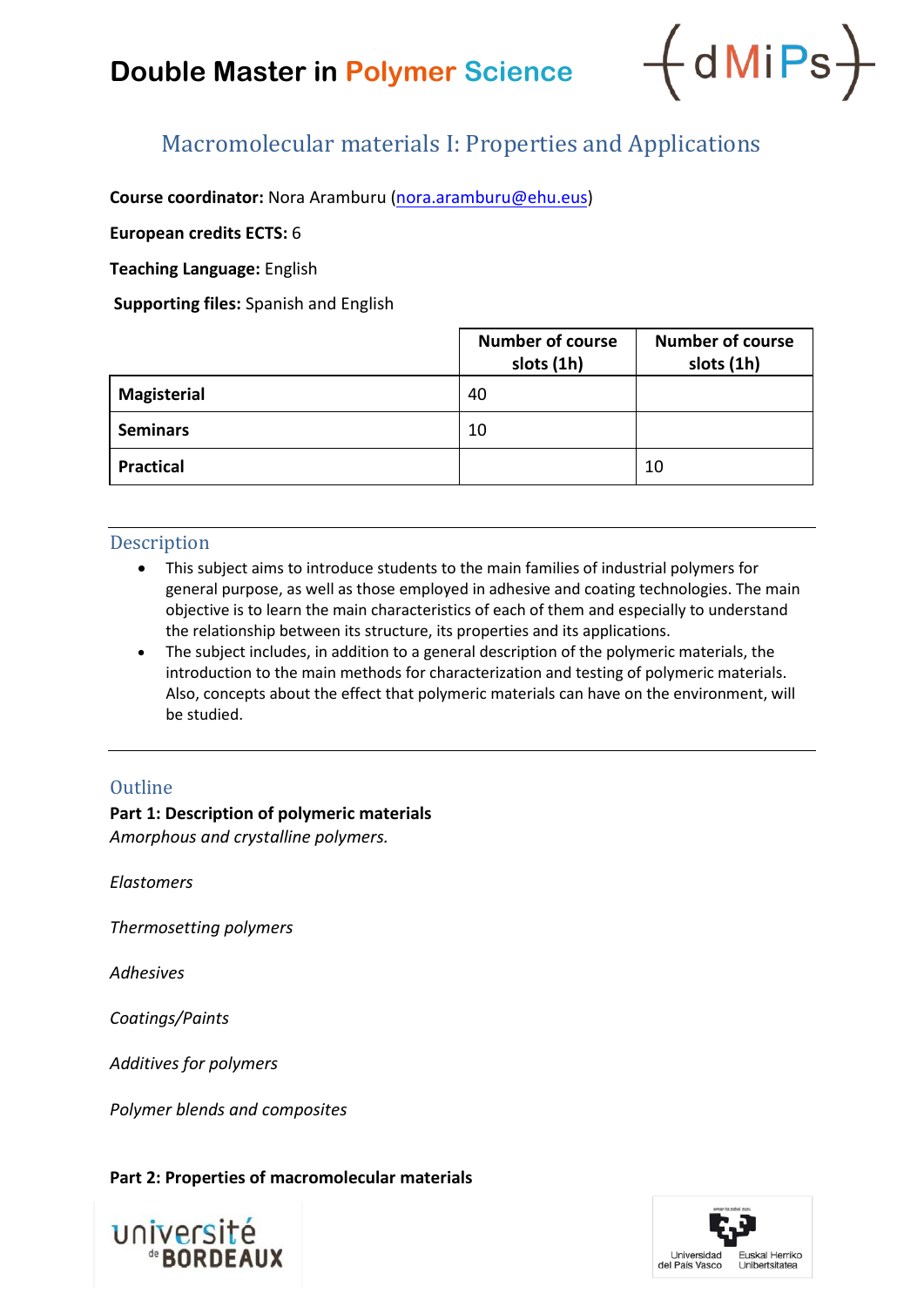## **Double Master in Polymer Science**



### Macromolecular materials I: Properties and Applications

**Course coordinator:** Nora Aramburu [\(nora.aramburu@ehu.eus\)](mailto:nora.aramburu@ehu.eus)

**European credits ECTS:** 6

**Teaching Language:** English

**Supporting files:** Spanish and English

|                    | <b>Number of course</b><br>slots (1h) | <b>Number of course</b><br>slots (1h) |
|--------------------|---------------------------------------|---------------------------------------|
| <b>Magisterial</b> | 40                                    |                                       |
| <b>Seminars</b>    | 10                                    |                                       |
| <b>Practical</b>   |                                       | 10                                    |

#### **Description**

- This subject aims to introduce students to the main families of industrial polymers for general purpose, as well as those employed in adhesive and coating technologies. The main objective is to learn the main characteristics of each of them and especially to understand the relationship between its structure, its properties and its applications.
- The subject includes, in addition to a general description of the polymeric materials, the introduction to the main methods for characterization and testing of polymeric materials. Also, concepts about the effect that polymeric materials can have on the environment, will be studied.

#### **Outline**

**Part 1: Description of polymeric materials** *Amorphous and crystalline polymers.*

*Elastomers*

*Thermosetting polymers*

*Adhesives*

*Coatings/Paints*

*Additives for polymers*

*Polymer blends and composites*

#### **Part 2: Properties of macromolecular materials**